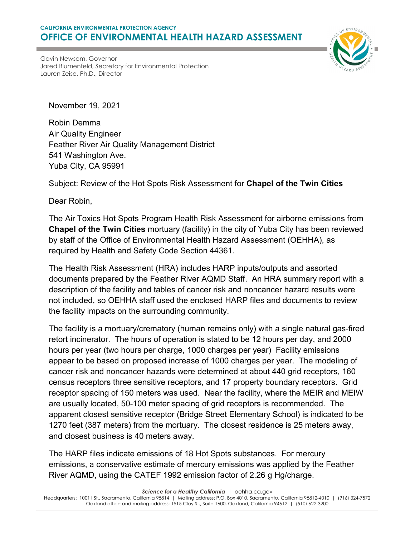## **CALIFORNIA ENVIRONMENTAL PROTECTION AGENCY OFFICE OF ENVIRONMENTAL HEALTH HAZARD ASSESSMENT**



Gavin Newsom, Governor Jared Blumenfeld, Secretary for Environmental Protection Lauren Zeise, Ph.D., Director

November 19, 2021

Robin Demma Air Quality Engineer Feather River Air Quality Management District 541 Washington Ave. Yuba City, CA 95991

Subject: Review of the Hot Spots Risk Assessment for **Chapel of the Twin Cities**

Dear Robin,

The Air Toxics Hot Spots Program Health Risk Assessment for airborne emissions from **Chapel of the Twin Cities** mortuary (facility) in the city of Yuba City has been reviewed by staff of the Office of Environmental Health Hazard Assessment (OEHHA), as required by Health and Safety Code Section 44361.

The Health Risk Assessment (HRA) includes HARP inputs/outputs and assorted documents prepared by the Feather River AQMD Staff. An HRA summary report with a description of the facility and tables of cancer risk and noncancer hazard results were not included, so OEHHA staff used the enclosed HARP files and documents to review the facility impacts on the surrounding community.

The facility is a mortuary/crematory (human remains only) with a single natural gas-fired retort incinerator. The hours of operation is stated to be 12 hours per day, and 2000 hours per year (two hours per charge, 1000 charges per year) Facility emissions appear to be based on proposed increase of 1000 charges per year. The modeling of cancer risk and noncancer hazards were determined at about 440 grid receptors, 160 census receptors three sensitive receptors, and 17 property boundary receptors. Grid receptor spacing of 150 meters was used. Near the facility, where the MEIR and MEIW are usually located, 50-100 meter spacing of grid receptors is recommended. The apparent closest sensitive receptor (Bridge Street Elementary School) is indicated to be 1270 feet (387 meters) from the mortuary. The closest residence is 25 meters away, and closest business is 40 meters away.

The HARP files indicate emissions of 18 Hot Spots substances. For mercury emissions, a conservative estimate of mercury emissions was applied by the Feather River AQMD, using the CATEF 1992 emission factor of 2.26 g Hg/charge.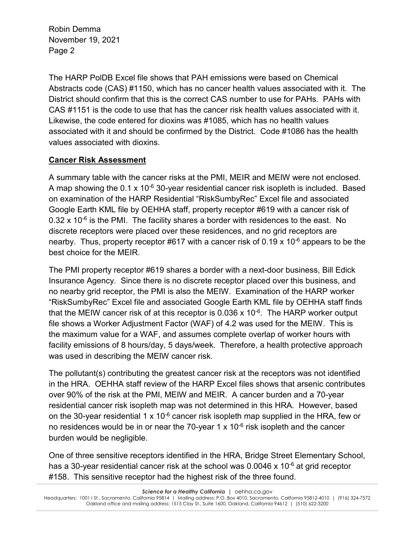The HARP PolDB Excel file shows that PAH emissions were based on Chemical Abstracts code (CAS) #1150, which has no cancer health values associated with it. The District should confirm that this is the correct CAS number to use for PAHs. PAHs with CAS #1151 is the code to use that has the cancer risk health values associated with it. Likewise, the code entered for dioxins was #1085, which has no health values associated with it and should be confirmed by the District. Code #1086 has the health values associated with dioxins.

## **Cancer Risk Assessment**

A summary table with the cancer risks at the PMI, MEIR and MEIW were not enclosed. A map showing the  $0.1 \times 10^{-6}$  30-year residential cancer risk isopleth is included. Based on examination of the HARP Residential "RiskSumbyRec" Excel file and associated Google Earth KML file by OEHHA staff, property receptor #619 with a cancer risk of  $0.32 \times 10^{-6}$  is the PMI. The facility shares a border with residences to the east. No discrete receptors were placed over these residences, and no grid receptors are nearby. Thus, property receptor #617 with a cancer risk of 0.19 x 10<sup>-6</sup> appears to be the best choice for the MEIR.

The PMI property receptor #619 shares a border with a next-door business, Bill Edick Insurance Agency. Since there is no discrete receptor placed over this business, and no nearby grid receptor, the PMI is also the MEIW. Examination of the HARP worker "RiskSumbyRec" Excel file and associated Google Earth KML file by OEHHA staff finds that the MEIW cancer risk of at this receptor is  $0.036 \times 10^{-6}$ . The HARP worker output file shows a Worker Adjustment Factor (WAF) of 4.2 was used for the MEIW. This is the maximum value for a WAF, and assumes complete overlap of worker hours with facility emissions of 8 hours/day, 5 days/week. Therefore, a health protective approach was used in describing the MEIW cancer risk.

The pollutant(s) contributing the greatest cancer risk at the receptors was not identified in the HRA. OEHHA staff review of the HARP Excel files shows that arsenic contributes over 90% of the risk at the PMI, MEIW and MEIR. A cancer burden and a 70-year residential cancer risk isopleth map was not determined in this HRA. However, based on the 30-year residential 1 x 10 $<sup>6</sup>$  cancer risk isopleth map supplied in the HRA, few or</sup> no residences would be in or near the 70-year 1  $\times$  10<sup>-6</sup> risk isopleth and the cancer burden would be negligible.

One of three sensitive receptors identified in the HRA, Bridge Street Elementary School, has a 30-year residential cancer risk at the school was  $0.0046 \times 10^{-6}$  at grid receptor #158. This sensitive receptor had the highest risk of the three found.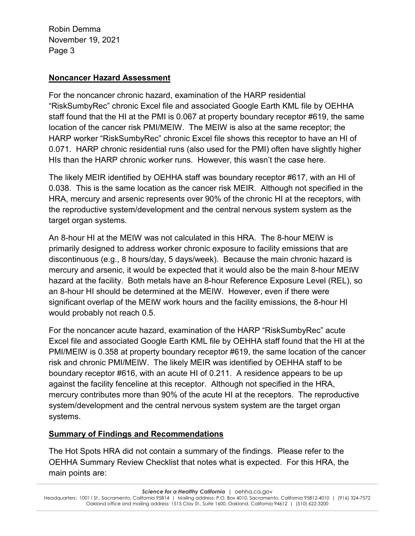## **Noncancer Hazard Assessment**

For the noncancer chronic hazard, examination of the HARP residential "RiskSumbyRec" chronic Excel file and associated Google Earth KML file by OEHHA staff found that the HI at the PMI is 0.067 at property boundary receptor #619, the same location of the cancer risk PMI/MEIW. The MEIW is also at the same receptor; the HARP worker "RiskSumbyRec" chronic Excel file shows this receptor to have an HI of 0.071. HARP chronic residential runs (also used for the PMI) often have slightly higher HIs than the HARP chronic worker runs. However, this wasn't the case here.

The likely MEIR identified by OEHHA staff was boundary receptor #617, with an HI of 0.038. This is the same location as the cancer risk MEIR. Although not specified in the HRA, mercury and arsenic represents over 90% of the chronic HI at the receptors, with the reproductive system/development and the central nervous system system as the target organ systems.

An 8-hour HI at the MEIW was not calculated in this HRA. The 8-hour MEIW is primarily designed to address worker chronic exposure to facility emissions that are discontinuous (e.g., 8 hours/day, 5 days/week). Because the main chronic hazard is mercury and arsenic, it would be expected that it would also be the main 8-hour MEIW hazard at the facility. Both metals have an 8-hour Reference Exposure Level (REL), so an 8-hour HI should be determined at the MEIW. However, even if there were significant overlap of the MEIW work hours and the facility emissions, the 8-hour HI would probably not reach 0.5.

For the noncancer acute hazard, examination of the HARP "RiskSumbyRec" acute Excel file and associated Google Earth KML file by OEHHA staff found that the HI at the PMI/MEIW is 0.358 at property boundary receptor #619, the same location of the cancer risk and chronic PMI/MEIW. The likely MEIR was identified by OEHHA staff to be boundary receptor #616, with an acute HI of 0.211. A residence appears to be up against the facility fenceline at this receptor. Although not specified in the HRA, mercury contributes more than 90% of the acute HI at the receptors. The reproductive system/development and the central nervous system system are the target organ systems.

## **Summary of Findings and Recommendations**

The Hot Spots HRA did not contain a summary of the findings. Please refer to the OEHHA Summary Review Checklist that notes what is expected. For this HRA, the main points are: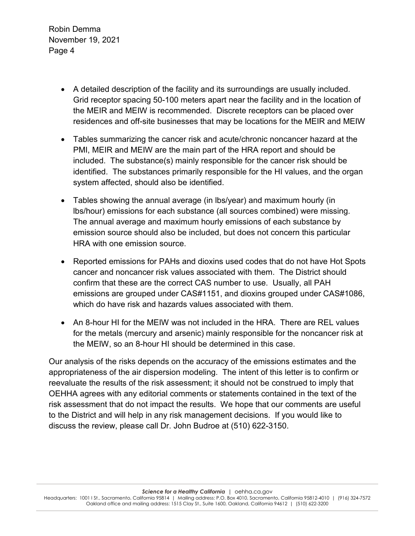- A detailed description of the facility and its surroundings are usually included. Grid receptor spacing 50-100 meters apart near the facility and in the location of the MEIR and MEIW is recommended. Discrete receptors can be placed over residences and off-site businesses that may be locations for the MEIR and MEIW
- Tables summarizing the cancer risk and acute/chronic noncancer hazard at the PMI, MEIR and MEIW are the main part of the HRA report and should be included. The substance(s) mainly responsible for the cancer risk should be identified. The substances primarily responsible for the HI values, and the organ system affected, should also be identified.
- Tables showing the annual average (in lbs/year) and maximum hourly (in lbs/hour) emissions for each substance (all sources combined) were missing. The annual average and maximum hourly emissions of each substance by emission source should also be included, but does not concern this particular HRA with one emission source.
- Reported emissions for PAHs and dioxins used codes that do not have Hot Spots cancer and noncancer risk values associated with them. The District should confirm that these are the correct CAS number to use. Usually, all PAH emissions are grouped under CAS#1151, and dioxins grouped under CAS#1086, which do have risk and hazards values associated with them.
- An 8-hour HI for the MEIW was not included in the HRA. There are REL values for the metals (mercury and arsenic) mainly responsible for the noncancer risk at the MEIW, so an 8-hour HI should be determined in this case.

Our analysis of the risks depends on the accuracy of the emissions estimates and the appropriateness of the air dispersion modeling. The intent of this letter is to confirm or reevaluate the results of the risk assessment; it should not be construed to imply that OEHHA agrees with any editorial comments or statements contained in the text of the risk assessment that do not impact the results. We hope that our comments are useful to the District and will help in any risk management decisions. If you would like to discuss the review, please call Dr. John Budroe at (510) 622-3150.